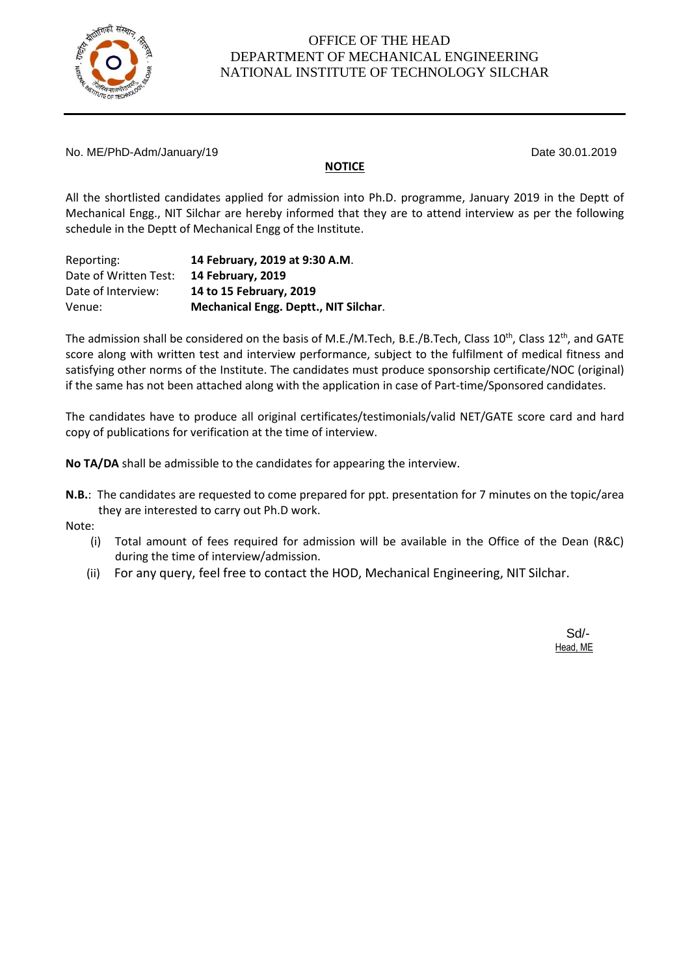

No. ME/PhD-Adm/January/19 **Date 30.01.2019** 

### **NOTICE**

All the shortlisted candidates applied for admission into Ph.D. programme, January 2019 in the Deptt of Mechanical Engg., NIT Silchar are hereby informed that they are to attend interview as per the following schedule in the Deptt of Mechanical Engg of the Institute.

| Reporting:            | 14 February, 2019 at 9:30 A.M.        |
|-----------------------|---------------------------------------|
| Date of Written Test: | 14 February, 2019                     |
| Date of Interview:    | 14 to 15 February, 2019               |
| Venue:                | Mechanical Engg. Deptt., NIT Silchar. |

The admission shall be considered on the basis of M.E./M.Tech, B.E./B.Tech, Class 10<sup>th</sup>, Class 12<sup>th</sup>, and GATE score along with written test and interview performance, subject to the fulfilment of medical fitness and satisfying other norms of the Institute. The candidates must produce sponsorship certificate/NOC (original) if the same has not been attached along with the application in case of Part-time/Sponsored candidates.

The candidates have to produce all original certificates/testimonials/valid NET/GATE score card and hard copy of publications for verification at the time of interview.

**No TA/DA** shall be admissible to the candidates for appearing the interview.

**N.B.**: The candidates are requested to come prepared for ppt. presentation for 7 minutes on the topic/area they are interested to carry out Ph.D work.

Note:

- (i) Total amount of fees required for admission will be available in the Office of the Dean (R&C) during the time of interview/admission.
- (ii) For any query, feel free to contact the HOD, Mechanical Engineering, NIT Silchar.

Sd/- Head, ME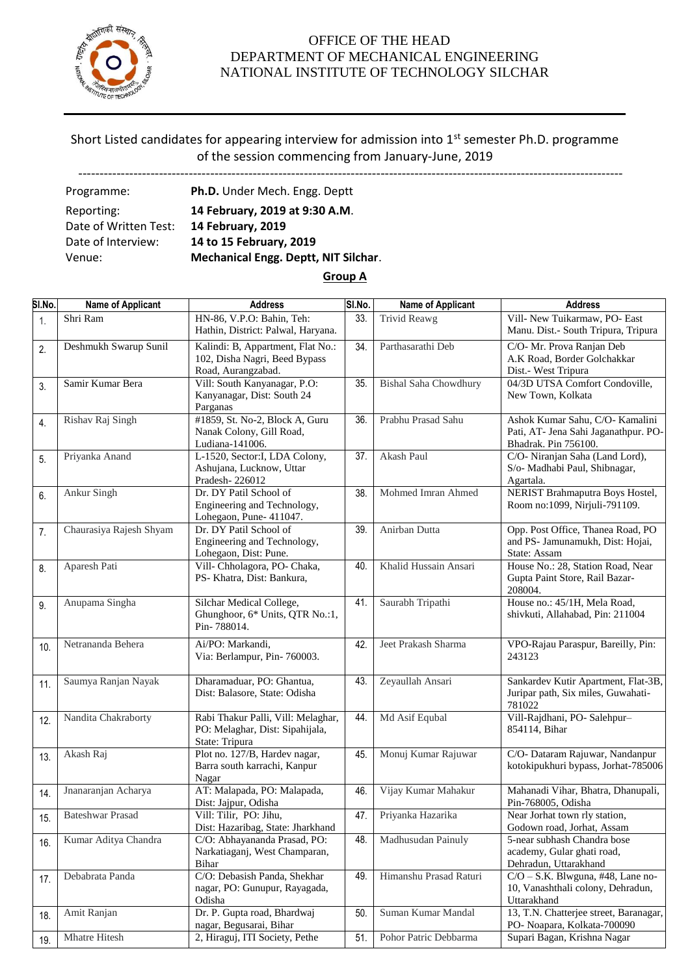

# Short Listed candidates for appearing interview for admission into 1<sup>st</sup> semester Ph.D. programme of the session commencing from January-June, 2019

--------------------------------------------------------------------------------------------------------------------------------

| Programme:            | Ph.D. Under Mech. Engg. Deptt        |
|-----------------------|--------------------------------------|
| Reporting:            | 14 February, 2019 at 9:30 A.M.       |
| Date of Written Test: | 14 February, 2019                    |
| Date of Interview:    | 14 to 15 February, 2019              |
| Venue:                | Mechanical Engg. Deptt, NIT Silchar. |
|                       |                                      |

#### **Group A**

| SI.No. | Name of Applicant       | <b>Address</b>                     | SI.No. | Name of Applicant            | <b>Address</b>                         |
|--------|-------------------------|------------------------------------|--------|------------------------------|----------------------------------------|
| 1.     | Shri Ram                | HN-86, V.P.O: Bahin, Teh:          | 33.    | <b>Trivid Reawg</b>          | Vill- New Tuikarmaw, PO- East          |
|        |                         | Hathin, District: Palwal, Haryana. |        |                              | Manu. Dist.- South Tripura, Tripura    |
| 2.     | Deshmukh Swarup Sunil   | Kalindi: B, Appartment, Flat No.:  | 34.    | Parthasarathi Deb            | C/O- Mr. Prova Ranjan Deb              |
|        |                         | 102, Disha Nagri, Beed Bypass      |        |                              | A.K Road, Border Golchakkar            |
|        |                         | Road, Aurangzabad.                 |        |                              | Dist.- West Tripura                    |
| 3.     | Samir Kumar Bera        | Vill: South Kanyanagar, P.O:       | 35.    | <b>Bishal Saha Chowdhury</b> | 04/3D UTSA Comfort Condoville,         |
|        |                         | Kanyanagar, Dist: South 24         |        |                              | New Town, Kolkata                      |
|        |                         | Parganas                           |        |                              |                                        |
| 4.     | Rishav Raj Singh        | #1859, St. No-2, Block A, Guru     | 36.    | Prabhu Prasad Sahu           | Ashok Kumar Sahu, C/O- Kamalini        |
|        |                         | Nanak Colony, Gill Road,           |        |                              | Pati, AT- Jena Sahi Jaganathpur. PO-   |
|        |                         | Ludiana-141006.                    |        |                              | Bhadrak. Pin 756100.                   |
| 5.     | Priyanka Anand          | L-1520, Sector: I, LDA Colony,     | 37.    | Akash Paul                   | C/O- Niranjan Saha (Land Lord),        |
|        |                         | Ashujana, Lucknow, Uttar           |        |                              | S/o- Madhabi Paul, Shibnagar,          |
|        |                         | Pradesh-226012                     |        |                              | Agartala.                              |
| 6.     | Ankur Singh             | Dr. DY Patil School of             | 38.    | Mohmed Imran Ahmed           | NERIST Brahmaputra Boys Hostel,        |
|        |                         | Engineering and Technology,        |        |                              | Room no:1099, Nirjuli-791109.          |
|        |                         | Lohegaon, Pune- 411047.            |        |                              |                                        |
| 7.     | Chaurasiya Rajesh Shyam | Dr. DY Patil School of             | 39.    | Anirban Dutta                | Opp. Post Office, Thanea Road, PO      |
|        |                         | Engineering and Technology,        |        |                              | and PS- Jamunamukh, Dist: Hojai,       |
|        |                         | Lohegaon, Dist: Pune.              |        |                              | State: Assam                           |
| 8.     | Aparesh Pati            | Vill- Chholagora, PO- Chaka,       | 40.    | Khalid Hussain Ansari        | House No.: 28, Station Road, Near      |
|        |                         | PS- Khatra, Dist: Bankura,         |        |                              | Gupta Paint Store, Rail Bazar-         |
|        |                         |                                    |        |                              | 208004.                                |
| 9.     | Anupama Singha          | Silchar Medical College,           | 41.    | Saurabh Tripathi             | House no.: 45/1H, Mela Road,           |
|        |                         | Ghunghoor, 6* Units, QTR No.:1,    |        |                              | shivkuti, Allahabad, Pin: 211004       |
|        |                         | Pin-788014.                        |        |                              |                                        |
| 10.    | Netrananda Behera       | Ai/PO: Markandi,                   | 42.    | Jeet Prakash Sharma          | VPO-Rajau Paraspur, Bareilly, Pin:     |
|        |                         | Via: Berlampur, Pin- 760003.       |        |                              | 243123                                 |
|        |                         |                                    |        |                              |                                        |
| 11.    | Saumya Ranjan Nayak     | Dharamaduar, PO: Ghantua,          | 43.    | Zeyaullah Ansari             | Sankardev Kutir Apartment, Flat-3B,    |
|        |                         | Dist: Balasore, State: Odisha      |        |                              | Juripar path, Six miles, Guwahati-     |
|        |                         |                                    |        |                              | 781022                                 |
| 12.    | Nandita Chakraborty     | Rabi Thakur Palli, Vill: Melaghar, | 44.    | Md Asif Equbal               | Vill-Rajdhani, PO- Salehpur-           |
|        |                         | PO: Melaghar, Dist: Sipahijala,    |        |                              | 854114, Bihar                          |
|        |                         | State: Tripura                     |        |                              |                                        |
| 13.    | Akash Raj               | Plot no. 127/B, Hardev nagar,      | 45.    | Monuj Kumar Rajuwar          | C/O- Dataram Rajuwar, Nandanpur        |
|        |                         | Barra south karrachi, Kanpur       |        |                              | kotokipukhuri bypass, Jorhat-785006    |
|        |                         | Nagar                              |        |                              |                                        |
| 14.    | Jnanaranjan Acharya     | AT: Malapada, PO: Malapada,        | 46.    | Vijay Kumar Mahakur          | Mahanadi Vihar, Bhatra, Dhanupali,     |
|        |                         | Dist: Jajpur, Odisha               |        |                              | Pin-768005, Odisha                     |
| 15.    | <b>Bateshwar Prasad</b> | Vill: Tilir, PO: Jihu,             |        | 47. Priyanka Hazarika        | Near Jorhat town rly station,          |
|        |                         | Dist: Hazaribag, State: Jharkhand  |        |                              | Godown road, Jorhat, Assam             |
| 16.    | Kumar Aditya Chandra    | C/O: Abhayananda Prasad, PO:       | 48.    | Madhusudan Painuly           | 5-near subhash Chandra bose            |
|        |                         | Narkatiaganj, West Champaran,      |        |                              | academy, Gular ghati road,             |
|        |                         | Bihar                              |        |                              | Dehradun, Uttarakhand                  |
| 17.    | Debabrata Panda         | C/O: Debasish Panda, Shekhar       | 49.    | Himanshu Prasad Raturi       | $C/O - S.K.$ Blwguna, #48, Lane no-    |
|        |                         | nagar, PO: Gunupur, Rayagada,      |        |                              | 10, Vanashthali colony, Dehradun,      |
|        |                         | Odisha                             |        |                              | Uttarakhand                            |
| 18.    | Amit Ranjan             | Dr. P. Gupta road, Bhardwaj        | 50.    | Suman Kumar Mandal           | 13, T.N. Chatterjee street, Baranagar, |
|        |                         | nagar, Begusarai, Bihar            |        |                              | PO- Noapara, Kolkata-700090            |
| 19.    | Mhatre Hitesh           | 2, Hiraguj, ITI Society, Pethe     | 51.    | Pohor Patric Debbarma        | Supari Bagan, Krishna Nagar            |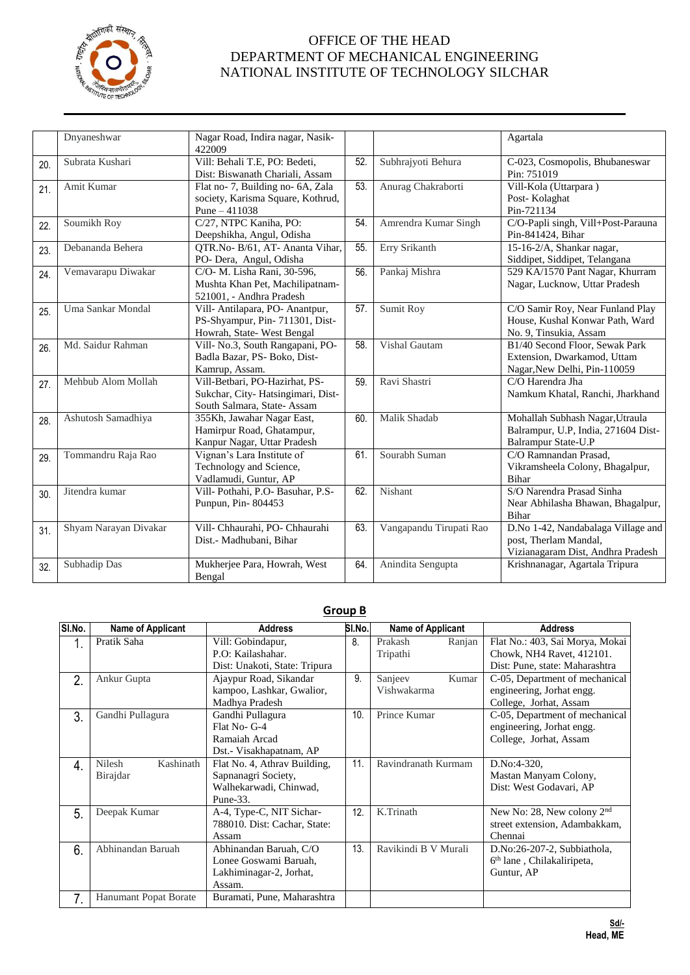

|     | Dnyaneshwar           | Nagar Road, Indira nagar, Nasik-<br>422009                                                         |     |                         | Agartala                                                                                         |
|-----|-----------------------|----------------------------------------------------------------------------------------------------|-----|-------------------------|--------------------------------------------------------------------------------------------------|
| 20. | Subrata Kushari       | Vill: Behali T.E, PO: Bedeti,<br>Dist: Biswanath Chariali, Assam                                   | 52. | Subhrajyoti Behura      | C-023, Cosmopolis, Bhubaneswar<br>Pin: 751019                                                    |
| 21. | Amit Kumar            | Flat no-7, Building no-6A, Zala<br>society, Karisma Square, Kothrud,<br>Pune $-411038$             | 53. | Anurag Chakraborti      | Vill-Kola (Uttarpara)<br>Post-Kolaghat<br>Pin-721134                                             |
| 22. | Soumikh Roy           | C/27, NTPC Kaniha, PO:<br>Deepshikha, Angul, Odisha                                                | 54. | Amrendra Kumar Singh    | C/O-Papli singh, Vill+Post-Parauna<br>Pin-841424, Bihar                                          |
| 23. | Debananda Behera      | QTR.No- B/61, AT- Ananta Vihar,<br>PO- Dera, Angul, Odisha                                         | 55. | Erry Srikanth           | 15-16-2/A, Shankar nagar,<br>Siddipet, Siddipet, Telangana                                       |
| 24. | Vemavarapu Diwakar    | C/O- M. Lisha Rani, 30-596,<br>Mushta Khan Pet, Machilipatnam-<br>521001, - Andhra Pradesh         | 56. | Pankaj Mishra           | 529 KA/1570 Pant Nagar, Khurram<br>Nagar, Lucknow, Uttar Pradesh                                 |
| 25. | Uma Sankar Mondal     | Vill- Antilapara, PO- Anantpur,<br>PS-Shyampur, Pin- 711301, Dist-<br>Howrah, State- West Bengal   | 57. | Sumit Roy               | C/O Samir Roy, Near Funland Play<br>House, Kushal Konwar Path, Ward<br>No. 9, Tinsukia, Assam    |
| 26. | Md. Saidur Rahman     | Vill- No.3, South Rangapani, PO-<br>Badla Bazar, PS- Boko, Dist-<br>Kamrup, Assam.                 | 58. | Vishal Gautam           | B1/40 Second Floor, Sewak Park<br>Extension, Dwarkamod, Uttam<br>Nagar, New Delhi, Pin-110059    |
| 27. | Mehbub Alom Mollah    | Vill-Betbari, PO-Hazirhat, PS-<br>Sukchar, City-Hatsingimari, Dist-<br>South Salmara, State- Assam | 59. | Ravi Shastri            | C/O Harendra Jha<br>Namkum Khatal, Ranchi, Jharkhand                                             |
| 28. | Ashutosh Samadhiya    | 355Kh, Jawahar Nagar East,<br>Hamirpur Road, Ghatampur,<br>Kanpur Nagar, Uttar Pradesh             | 60. | Malik Shadab            | Mohallah Subhash Nagar, Utraula<br>Balrampur, U.P, India, 271604 Dist-<br>Balrampur State-U.P    |
| 29. | Tommandru Raja Rao    | Vignan's Lara Institute of<br>Technology and Science,<br>Vadlamudi, Guntur, AP                     | 61. | Sourabh Suman           | C/O Ramnandan Prasad,<br>Vikramsheela Colony, Bhagalpur,<br><b>Bihar</b>                         |
| 30. | Jitendra kumar        | Vill- Pothahi, P.O- Basuhar, P.S-<br>Punpun, Pin-804453                                            | 62. | Nishant                 | S/O Narendra Prasad Sinha<br>Near Abhilasha Bhawan, Bhagalpur,<br>Bihar                          |
| 31. | Shyam Narayan Divakar | Vill- Chhaurahi, PO- Chhaurahi<br>Dist.- Madhubani, Bihar                                          | 63. | Vangapandu Tirupati Rao | D.No 1-42, Nandabalaga Village and<br>post, Therlam Mandal,<br>Vizianagaram Dist, Andhra Pradesh |
| 32. | Subhadip Das          | Mukherjee Para, Howrah, West<br>Bengal                                                             | 64. | Anindita Sengupta       | Krishnanagar, Agartala Tripura                                                                   |

## **Group B**

| SI.No. | <b>Name of Applicant</b> | <b>Address</b>                | SI.No. | Name of Applicant    |        | <b>Address</b>                         |
|--------|--------------------------|-------------------------------|--------|----------------------|--------|----------------------------------------|
| 1.     | Pratik Saha              | Vill: Gobindapur,             | 8.     | Prakash              | Ranjan | Flat No.: 403, Sai Morya, Mokai        |
|        |                          | P.O: Kailashahar.             |        | Tripathi             |        | Chowk, NH4 Ravet, 412101.              |
|        |                          | Dist: Unakoti, State: Tripura |        |                      |        | Dist: Pune, state: Maharashtra         |
| 2.     | Ankur Gupta              | Ajaypur Road, Sikandar        | 9.     | Sanjeev              | Kumar  | C-05, Department of mechanical         |
|        |                          | kampoo, Lashkar, Gwalior,     |        | Vishwakarma          |        | engineering, Jorhat engg.              |
|        |                          | Madhya Pradesh                |        |                      |        | College, Jorhat, Assam                 |
| 3.     | Gandhi Pullagura         | Gandhi Pullagura              | 10.    | Prince Kumar         |        | C-05, Department of mechanical         |
|        |                          | Flat No- G-4                  |        |                      |        | engineering, Jorhat engg.              |
|        |                          | Ramaiah Arcad                 |        |                      |        | College, Jorhat, Assam                 |
|        |                          | Dst.- Visakhapatnam, AP       |        |                      |        |                                        |
| 4.     | Nilesh<br>Kashinath      | Flat No. 4, Athrav Building,  | 11.    | Ravindranath Kurmam  |        | D.No:4-320,                            |
|        | Birajdar                 | Sapnanagri Society,           |        |                      |        | Mastan Manyam Colony,                  |
|        |                          | Walhekarwadi, Chinwad,        |        |                      |        | Dist: West Godavari, AP                |
|        |                          | Pune-33.                      |        |                      |        |                                        |
| 5.     | Deepak Kumar             | A-4, Type-C, NIT Sichar-      | 12.    | K.Trinath            |        | New No: 28, New colony 2 <sup>nd</sup> |
|        |                          | 788010. Dist: Cachar, State:  |        |                      |        | street extension, Adambakkam,          |
|        |                          | Assam                         |        |                      |        | Chennai                                |
| 6.     | Abhinandan Baruah        | Abhinandan Baruah, C/O        | 13.    | Ravikindi B V Murali |        | D.No:26-207-2, Subbiathola,            |
|        |                          | Lonee Goswami Baruah,         |        |                      |        | 6 <sup>th</sup> lane, Chilakaliripeta, |
|        |                          | Lakhiminagar-2, Jorhat,       |        |                      |        | Guntur, AP                             |
|        |                          | Assam.                        |        |                      |        |                                        |
| 7.     | Hanumant Popat Borate    | Buramati, Pune, Maharashtra   |        |                      |        |                                        |